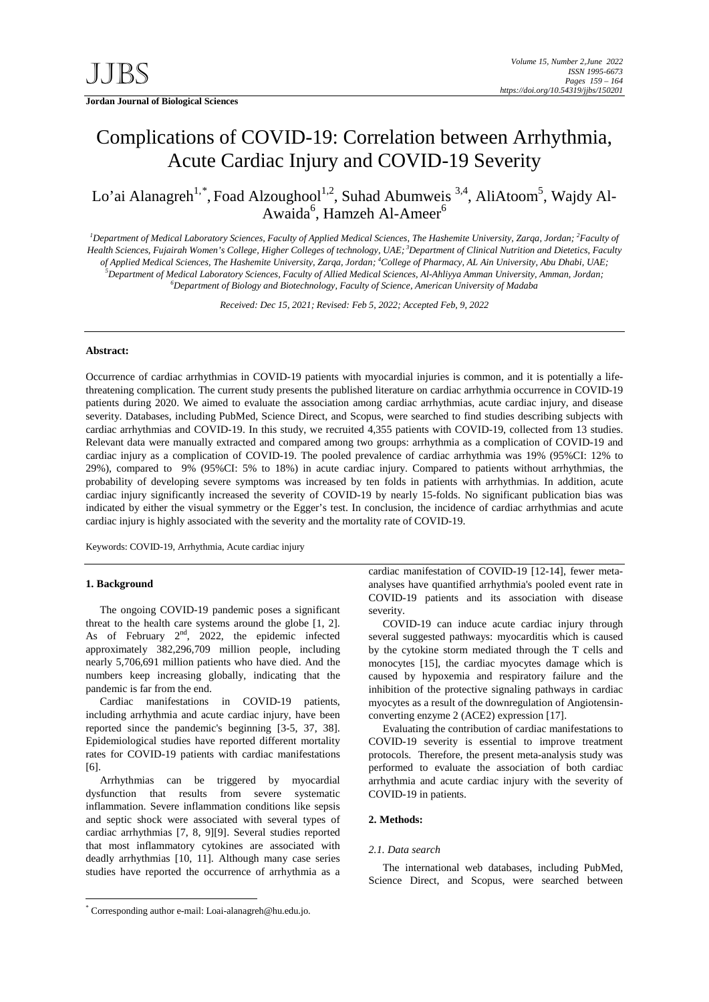**Jordan Journal of Biological Sciences** 

# Complications of COVID-19: Correlation between Arrhythmia, Acute Cardiac Injury and COVID-19 Severity

Lo'ai Alanagreh<sup>1,[\\*](#page-0-0)</sup>, Foad Alzoughool<sup>1,2</sup>, Suhad Abumweis<sup>3,4</sup>, AliAtoom<sup>5</sup>, Wajdy Al-Awaida<sup>6</sup>, Hamzeh Al-Ameer<sup>6</sup>

<sup>*1*</sup> Department of Medical Laboratory Sciences, Faculty of Applied Medical Sciences, The Hashemite University, Zarqa, Jordan; <sup>2</sup> Faculty of *Health Sciences, Fujairah Women's College, Higher Colleges of technology, UAE; <sup>3</sup> Department of Clinical Nutrition and Dietetics, Faculty of Applied Medical Sciences, The Hashemite University, Zarqa, Jordan; 4 College of Pharmacy, AL Ain University, Abu Dhabi, UAE; 5 Department of Medical Laboratory Sciences, Faculty of Allied Medical Sciences, Al-Ahliyya Amman University, Amman, Jordan; 6 Department of Biology and Biotechnology, Faculty of Science, American University of Madaba*

*Received: Dec 15, 2021; Revised: Feb 5, 2022; Accepted Feb, 9, 2022*

# **Abstract:**

Occurrence of cardiac arrhythmias in COVID-19 patients with myocardial injuries is common, and it is potentially a lifethreatening complication. The current study presents the published literature on cardiac arrhythmia occurrence in COVID-19 patients during 2020. We aimed to evaluate the association among cardiac arrhythmias, acute cardiac injury, and disease severity. Databases, including PubMed, Science Direct, and Scopus, were searched to find studies describing subjects with cardiac arrhythmias and COVID-19. In this study, we recruited 4,355 patients with COVID-19, collected from 13 studies. Relevant data were manually extracted and compared among two groups: arrhythmia as a complication of COVID-19 and cardiac injury as a complication of COVID-19. The pooled prevalence of cardiac arrhythmia was 19% (95%CI: 12% to 29%), compared to 9% (95%CI: 5% to 18%) in acute cardiac injury. Compared to patients without arrhythmias, the probability of developing severe symptoms was increased by ten folds in patients with arrhythmias. In addition, acute cardiac injury significantly increased the severity of COVID-19 by nearly 15-folds. No significant publication bias was indicated by either the visual symmetry or the Egger's test. In conclusion, the incidence of cardiac arrhythmias and acute cardiac injury is highly associated with the severity and the mortality rate of COVID-19.

Keywords: COVID-19, Arrhythmia, Acute cardiac injury

## **1. Background**

The ongoing COVID-19 pandemic poses a significant threat to the health care systems around the globe [1, 2]. As of February  $2<sup>nd</sup>$ , 2022, the epidemic infected approximately 382,296,709 million people, including nearly 5,706,691 million patients who have died. And the numbers keep increasing globally, indicating that the pandemic is far from the end.

Cardiac manifestations in COVID-19 patients, including arrhythmia and acute cardiac injury, have been reported since the pandemic's beginning [3-5, 37, 38]. Epidemiological studies have reported different mortality rates for COVID-19 patients with cardiac manifestations [6].

Arrhythmias can be triggered by myocardial dysfunction that results from severe systematic inflammation. Severe inflammation conditions like sepsis and septic shock were associated with several types of cardiac arrhythmias [7, 8, 9][9]. Several studies reported that most inflammatory cytokines are associated with deadly arrhythmias [10, 11]. Although many case series studies have reported the occurrence of arrhythmia as a

cardiac manifestation of COVID-19 [12-14], fewer metaanalyses have quantified arrhythmia's pooled event rate in COVID-19 patients and its association with disease severity.

COVID-19 can induce acute cardiac injury through several suggested pathways: myocarditis which is caused by the cytokine storm mediated through the T cells and monocytes [15], the cardiac myocytes damage which is caused by hypoxemia and respiratory failure and the inhibition of the protective signaling pathways in cardiac myocytes as a result of the downregulation of Angiotensinconverting enzyme 2 (ACE2) expression [17].

Evaluating the contribution of cardiac manifestations to COVID-19 severity is essential to improve treatment protocols. Therefore, the present meta-analysis study was performed to evaluate the association of both cardiac arrhythmia and acute cardiac injury with the severity of COVID-19 in patients.

## **2. Methods:**

#### *2.1. Data search*

The international web databases, including PubMed, Science Direct, and Scopus, were searched between

<span id="page-0-0"></span> <sup>\*</sup> Corresponding author e-mail: Loai-alanagreh@hu.edu.jo.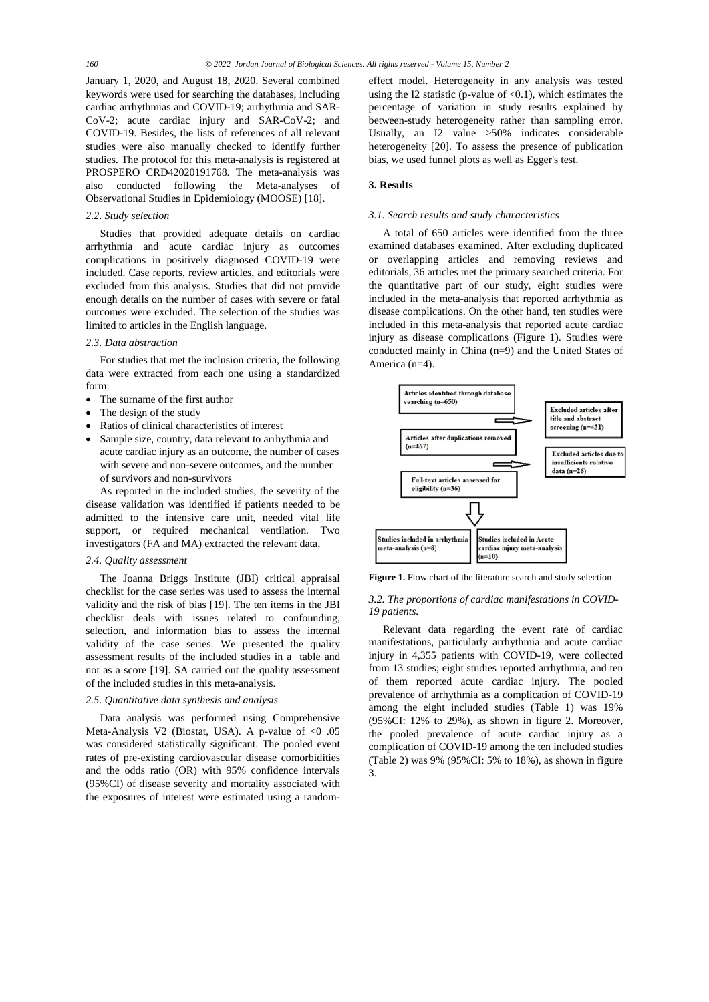January 1, 2020, and August 18, 2020. Several combined keywords were used for searching the databases, including cardiac arrhythmias and COVID-19; arrhythmia and SAR-CoV-2; acute cardiac injury and SAR-CoV-2; and COVID-19. Besides, the lists of references of all relevant studies were also manually checked to identify further studies. The protocol for this meta-analysis is registered at PROSPERO CRD42020191768. The meta-analysis was also conducted following the Meta-analyses of Observational Studies in Epidemiology (MOOSE) [18].

## *2.2. Study selection*

Studies that provided adequate details on cardiac arrhythmia and acute cardiac injury as outcomes complications in positively diagnosed COVID-19 were included. Case reports, review articles, and editorials were excluded from this analysis. Studies that did not provide enough details on the number of cases with severe or fatal outcomes were excluded. The selection of the studies was limited to articles in the English language.

## *2.3. Data abstraction*

For studies that met the inclusion criteria, the following data were extracted from each one using a standardized form:

- The surname of the first author
- The design of the study
- Ratios of clinical characteristics of interest
- Sample size, country, data relevant to arrhythmia and acute cardiac injury as an outcome, the number of cases with severe and non-severe outcomes, and the number of survivors and non-survivors

As reported in the included studies, the severity of the disease validation was identified if patients needed to be admitted to the intensive care unit, needed vital life support, or required mechanical ventilation. Two investigators (FA and MA) extracted the relevant data,

## *2.4. Quality assessment*

The Joanna Briggs Institute (JBI) critical appraisal checklist for the case series was used to assess the internal validity and the risk of bias [19]. The ten items in the JBI checklist deals with issues related to confounding, selection, and information bias to assess the internal validity of the case series. We presented the quality assessment results of the included studies in a table and not as a score [19]. SA carried out the quality assessment of the included studies in this meta-analysis.

## *2.5. Quantitative data synthesis and analysis*

Data analysis was performed using Comprehensive Meta-Analysis V2 (Biostat, USA). A p-value of  $\langle 0.05$ was considered statistically significant. The pooled event rates of pre-existing cardiovascular disease comorbidities and the odds ratio (OR) with 95% confidence intervals (95%CI) of disease severity and mortality associated with the exposures of interest were estimated using a randomeffect model. Heterogeneity in any analysis was tested using the I2 statistic (p-value of  $< 0.1$ ), which estimates the percentage of variation in study results explained by between-study heterogeneity rather than sampling error. Usually, an I2 value >50% indicates considerable heterogeneity [20]. To assess the presence of publication bias, we used funnel plots as well as Egger's test.

## **3. Results**

# *3.1. Search results and study characteristics*

A total of 650 articles were identified from the three examined databases examined. After excluding duplicated or overlapping articles and removing reviews and editorials, 36 articles met the primary searched criteria. For the quantitative part of our study, eight studies were included in the meta-analysis that reported arrhythmia as disease complications. On the other hand, ten studies were included in this meta-analysis that reported acute cardiac injury as disease complications (Figure 1). Studies were conducted mainly in China (n=9) and the United States of America (n=4).



**Figure 1.** Flow chart of the literature search and study selection

## *3.2. The proportions of cardiac manifestations in COVID-19 patients.*

Relevant data regarding the event rate of cardiac manifestations, particularly arrhythmia and acute cardiac injury in 4,355 patients with COVID-19, were collected from 13 studies; eight studies reported arrhythmia, and ten of them reported acute cardiac injury. The pooled prevalence of arrhythmia as a complication of COVID-19 among the eight included studies (Table 1) was 19% (95%CI: 12% to 29%), as shown in figure 2. Moreover, the pooled prevalence of acute cardiac injury as a complication of COVID-19 among the ten included studies (Table 2) was 9% (95%CI: 5% to 18%), as shown in figure 3.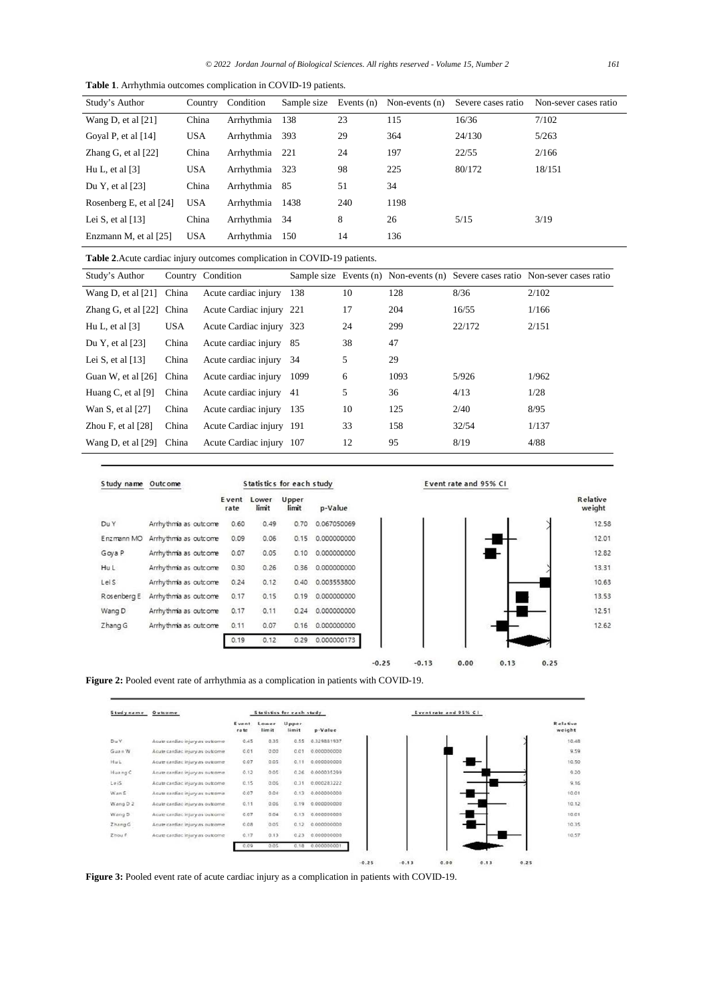| Study's Author          | Country    | Condition      | Sample size | Events $(n)$ | Non-events $(n)$ | Severe cases ratio | Non-sever cases ratio |
|-------------------------|------------|----------------|-------------|--------------|------------------|--------------------|-----------------------|
| Wang D, et al $[21]$    | China      | Arrhythmia     | 138         | 23           | 115              | 16/36              | 7/102                 |
| Goyal P, et al $[14]$   | <b>USA</b> | Arrhythmia     | 393         | 29           | 364              | 24/130             | 5/263                 |
| Zhang G, et al $[22]$   | China      | Arrhythmia 221 |             | 24           | 197              | 22/55              | 2/166                 |
| Hu L, et al $[3]$       | <b>USA</b> | Arrhythmia 323 |             | 98           | 225              | 80/172             | 18/151                |
| Du Y, et al $[23]$      | China      | Arrhythmia 85  |             | 51           | 34               |                    |                       |
| Rosenberg E, et al [24] | <b>USA</b> | Arrhythmia     | 1438        | 240          | 1198             |                    |                       |
| Lei S, et al $[13]$     | China      | Arrhythmia 34  |             | 8            | 26               | 5/15               | 3/19                  |
| Enzmann M, et al [25]   | <b>USA</b> | Arrhythmia     | 150         | 14           | 136              |                    |                       |

**Table 1**. Arrhythmia outcomes complication in COVID-19 patients.

**Table 2**.Acute cardiac injury outcomes complication in COVID-19 patients.

| Study's Author              |            | Country Condition        |      |    |      |        | Sample size Events (n) Non-events (n) Severe cases ratio Non-sever cases ratio |
|-----------------------------|------------|--------------------------|------|----|------|--------|--------------------------------------------------------------------------------|
| Wang D, et al $[21]$        | China      | Acute cardiac injury     | 138  | 10 | 128  | 8/36   | 2/102                                                                          |
| Zhang G, et al $[22]$ China |            | Acute Cardiac injury 221 |      | 17 | 204  | 16/55  | 1/166                                                                          |
| Hu L, et al $[3]$           | <b>USA</b> | Acute Cardiac injury 323 |      | 24 | 299  | 22/172 | 2/151                                                                          |
| Du Y, et al $[23]$          | China      | Acute cardiac injury     | -85  | 38 | 47   |        |                                                                                |
| Lei S, et al $[13]$         | China      | Acute cardiac injury     | -34  | 5  | 29   |        |                                                                                |
| Guan W, et al [26]          | China      | Acute cardiac injury     | 1099 | 6  | 1093 | 5/926  | 1/962                                                                          |
| Huang C, et al $[9]$        | China      | Acute cardiac injury     | -41  | 5  | 36   | 4/13   | 1/28                                                                           |
| Wan S, et al $[27]$         | China      | Acute cardiac injury     | 135  | 10 | 125  | 2/40   | 8/95                                                                           |
| Zhou F, et al $[28]$        | China      | Acute Cardiac injury 191 |      | 33 | 158  | 32/54  | 1/137                                                                          |
| Wang D, et al $[29]$        | China      | Acute Cardiac injury 107 |      | 12 | 95   | 8/19   | 4/88                                                                           |
|                             |            |                          |      |    |      |        |                                                                                |

| Study name  | Statistics for each study<br>Outcome |                       |                |                |             |
|-------------|--------------------------------------|-----------------------|----------------|----------------|-------------|
|             |                                      | <b>E</b> vent<br>rate | Lower<br>limit | Upper<br>limit | p-Value     |
| Du Y        | Arrhythmia as outcome                | 0.60                  | 0.49           | 0.70           | 0.067050069 |
| Enzmann MO  | Arrhythmia as outcome                | 0.09                  | 0.06           | 0.15           | 0.000000000 |
| Goya P      | Arrhythmia as outcome                | 0.07                  | 0.05           | 0.10           | 0.000000000 |
| Hu L        | Arrhythmia as outcome                | 0.30                  | 0.26           | 0.36           | 0.000000000 |
| Leis        | Arrhythmia as outcome                | 0.24                  | 0.12           | 0.40           | 0.003553800 |
| Rosenberg E | Arrhythmia as outcome                | 0.17                  | 0.15           | 0.19           | 0.000000000 |
| Wang D      | Arrhythmia as outcome                | 0.17                  | 0.11           | 0.24           | 0.000000000 |
| Zhang G     | Arrhythmia as outcome                | 0.11                  | 0.07           | 0.16           | 0.000000000 |
|             |                                      | 0.19                  | 0.12           | 0.29           | 0.000000173 |

Event rate and 95% CI







 $-0.25$ 

**Figure 3:** Pooled event rate of acute cardiac injury as a complication in patients with COVID-19.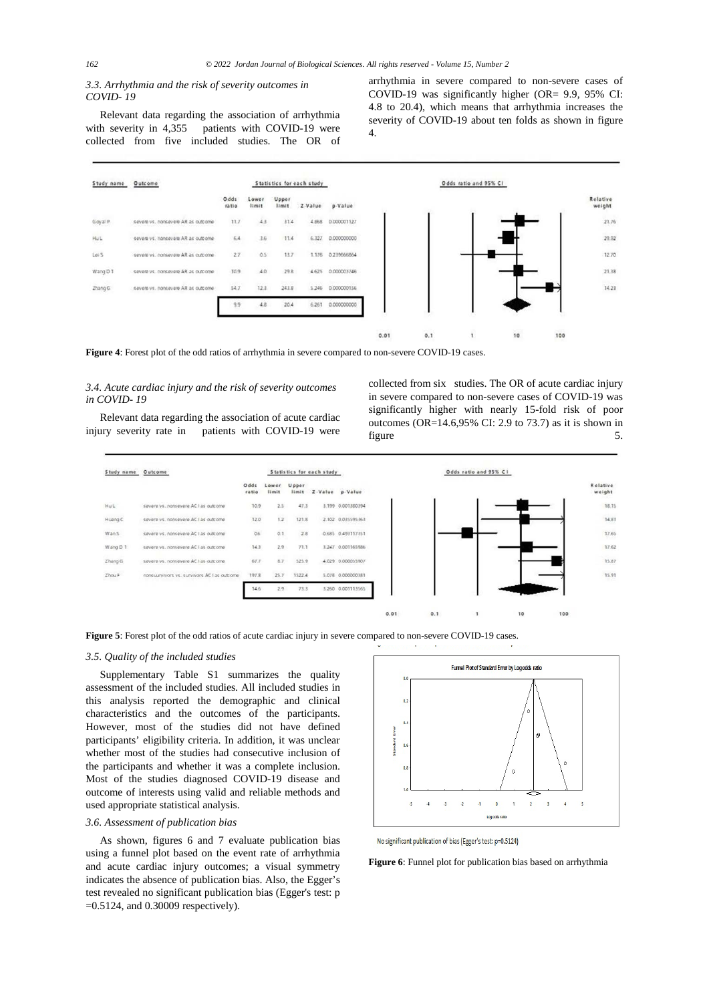# *3.3. Arrhythmia and the risk of severity outcomes in COVID- 19*

Relevant data regarding the association of arrhythmia with severity in 4,355 patients with COVID-19 were collected from five included studies. The OR of

| Study name | <b>Outcome</b>                     | Statistics for each study |                |                |         |             |
|------------|------------------------------------|---------------------------|----------------|----------------|---------|-------------|
|            |                                    | Odds<br>ratio             | Lower<br>limit | Upper<br>limit | Z-Value | p-Value     |
| Goyal P.   | severe vs. nonsevere AR as outcome | 11.7                      | 43             | 31.4           | 4.868   | 0.000001127 |
| HUL        | severe vs. nonsevere AR as outcome | 6.4                       | 3.6            | 11.4           | 6.327   | 0.000000000 |
| LoS        | cevere ys, nonceyers AR as outcome | 2.7                       | 0.5            | 13.7           | 1.176   | 0.239666864 |
| Wang D 1   | severe vs. nonsevere AR as outcome | 10.9                      | 4.0            | 29.8           | 4.625   | 0.000003746 |
| Zhang G    | severe vs. nonsevere AR as outcome | <b>PATE</b><br>54.7       | 12.1           | 243.8          | 5.246   | 0.000000156 |
|            |                                    | 9,9                       | 4.8.           | 20.4           | 6.261   | 0.000000000 |

arrhythmia in severe compared to non-severe cases of COVID-19 was significantly higher (OR= 9.9, 95% CI: 4.8 to 20.4), which means that arrhythmia increases the severity of COVID-19 about ten folds as shown in figure 4.



**Figure 4**: Forest plot of the odd ratios of arrhythmia in severe compared to non-severe COVID-19 cases.

# *3.4. Acute cardiac injury and the risk of severity outcomes in COVID- 19*

Relevant data regarding the association of acute cardiac injury severity rate in patients with COVID-19 were

collected from six studies. The OR of acute cardiac injury in severe compared to non-severe cases of COVID-19 was significantly higher with nearly 15-fold risk of poor outcomes (OR=14.6,95% CI: 2.9 to 73.7) as it is shown in figure 5.



**Figure 5**: Forest plot of the odd ratios of acute cardiac injury in severe compared to non-severe COVID-19 cases.

## *3.5. Quality of the included studies*

Supplementary Table S1 summarizes the quality assessment of the included studies. All included studies in this analysis reported the demographic and clinical characteristics and the outcomes of the participants. However, most of the studies did not have defined participants' eligibility criteria. In addition, it was unclear whether most of the studies had consecutive inclusion of the participants and whether it was a complete inclusion. Most of the studies diagnosed COVID-19 disease and outcome of interests using valid and reliable methods and used appropriate statistical analysis.

## *3.6. Assessment of publication bias*

As shown, figures 6 and 7 evaluate publication bias using a funnel plot based on the event rate of arrhythmia and acute cardiac injury outcomes; a visual symmetry indicates the absence of publication bias. Also, the Egger's test revealed no significant publication bias (Egger's test: p =0.5124, and 0.30009 respectively).



No significant publication of bias (Egger's test: p=0.5124)

**Figure 6**: Funnel plot for publication bias based on arrhythmia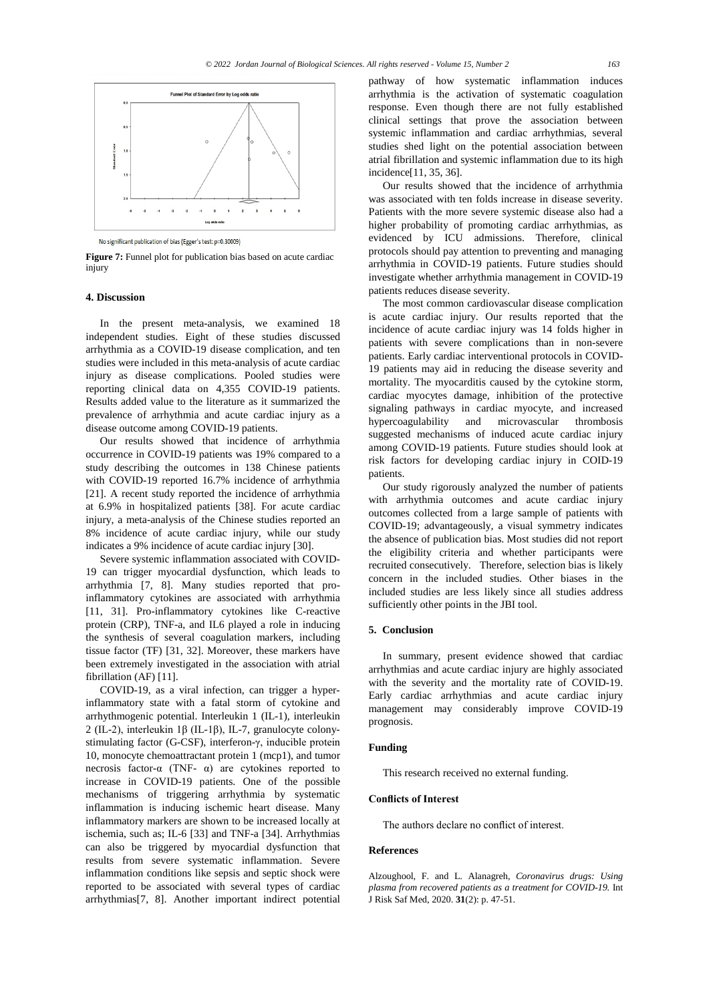

No significant publication of bias (Egger's test: p=0.30009)

**Figure 7:** Funnel plot for publication bias based on acute cardiac injury

# **4. Discussion**

In the present meta-analysis, we examined 18 independent studies. Eight of these studies discussed arrhythmia as a COVID-19 disease complication, and ten studies were included in this meta-analysis of acute cardiac injury as disease complications. Pooled studies were reporting clinical data on 4,355 COVID-19 patients. Results added value to the literature as it summarized the prevalence of arrhythmia and acute cardiac injury as a disease outcome among COVID-19 patients.

Our results showed that incidence of arrhythmia occurrence in COVID-19 patients was 19% compared to a study describing the outcomes in 138 Chinese patients with COVID-19 reported 16.7% incidence of arrhythmia [21]. A recent study reported the incidence of arrhythmia at 6.9% in hospitalized patients [38]. For acute cardiac injury, a meta-analysis of the Chinese studies reported an 8% incidence of acute cardiac injury, while our study indicates a 9% incidence of acute cardiac injury [30].

Severe systemic inflammation associated with COVID-19 can trigger myocardial dysfunction, which leads to arrhythmia [7, 8]. Many studies reported that proinflammatory cytokines are associated with arrhythmia [11, 31]. Pro-inflammatory cytokines like C-reactive protein (CRP), TNF-a, and IL6 played a role in inducing the synthesis of several coagulation markers, including tissue factor (TF) [31, 32]. Moreover, these markers have been extremely investigated in the association with atrial fibrillation (AF) [11].

COVID-19, as a viral infection, can trigger a hyperinflammatory state with a fatal storm of cytokine and arrhythmogenic potential. Interleukin 1 (IL-1), interleukin 2 (IL-2), interleukin 1β (IL-1β), IL-7, granulocyte colonystimulating factor (G-CSF), interferon-γ, inducible protein 10, monocyte chemoattractant protein 1 (mcp1), and tumor necrosis factor-α (TNF-  $\alpha$ ) are cytokines reported to increase in COVID-19 patients. One of the possible mechanisms of triggering arrhythmia by systematic inflammation is inducing ischemic heart disease. Many inflammatory markers are shown to be increased locally at ischemia, such as; IL-6 [33] and TNF-a [34]. Arrhythmias can also be triggered by myocardial dysfunction that results from severe systematic inflammation. Severe inflammation conditions like sepsis and septic shock were reported to be associated with several types of cardiac arrhythmias[7, 8]. Another important indirect potential pathway of how systematic inflammation induces arrhythmia is the activation of systematic coagulation response. Even though there are not fully established clinical settings that prove the association between systemic inflammation and cardiac arrhythmias, several studies shed light on the potential association between atrial fibrillation and systemic inflammation due to its high incidence[11, 35, 36].

Our results showed that the incidence of arrhythmia was associated with ten folds increase in disease severity. Patients with the more severe systemic disease also had a higher probability of promoting cardiac arrhythmias, as evidenced by ICU admissions. Therefore, clinical protocols should pay attention to preventing and managing arrhythmia in COVID-19 patients. Future studies should investigate whether arrhythmia management in COVID-19 patients reduces disease severity.

The most common cardiovascular disease complication is acute cardiac injury. Our results reported that the incidence of acute cardiac injury was 14 folds higher in patients with severe complications than in non-severe patients. Early cardiac interventional protocols in COVID-19 patients may aid in reducing the disease severity and mortality. The myocarditis caused by the cytokine storm, cardiac myocytes damage, inhibition of the protective signaling pathways in cardiac myocyte, and increased hypercoagulability and microvascular thrombosis suggested mechanisms of induced acute cardiac injury among COVID-19 patients. Future studies should look at risk factors for developing cardiac injury in COID-19 patients.

Our study rigorously analyzed the number of patients with arrhythmia outcomes and acute cardiac injury outcomes collected from a large sample of patients with COVID-19; advantageously, a visual symmetry indicates the absence of publication bias. Most studies did not report the eligibility criteria and whether participants were recruited consecutively. Therefore, selection bias is likely concern in the included studies. Other biases in the included studies are less likely since all studies address sufficiently other points in the JBI tool.

## **5. Conclusion**

In summary, present evidence showed that cardiac arrhythmias and acute cardiac injury are highly associated with the severity and the mortality rate of COVID-19. Early cardiac arrhythmias and acute cardiac injury management may considerably improve COVID-19 prognosis.

# **Funding**

This research received no external funding.

# **Conflicts of Interest**

The authors declare no conflict of interest.

#### **References**

Alzoughool, F. and L. Alanagreh, *Coronavirus drugs: Using plasma from recovered patients as a treatment for COVID-19.* Int J Risk Saf Med, 2020. **31**(2): p. 47-51.